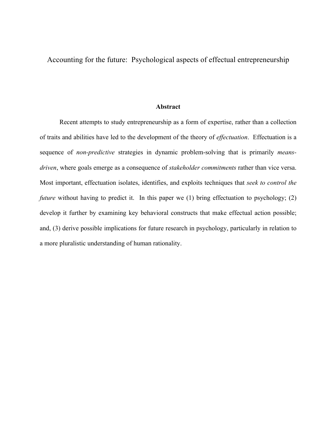Accounting for the future: Psychological aspects of effectual entrepreneurship

#### **Abstract**

Recent attempts to study entrepreneurship as a form of expertise, rather than a collection of traits and abilities have led to the development of the theory of *effectuation*. Effectuation is a sequence of *non-predictive* strategies in dynamic problem-solving that is primarily *meansdriven*, where goals emerge as a consequence of *stakeholder commitments* rather than vice versa. Most important, effectuation isolates, identifies, and exploits techniques that *seek to control the future* without having to predict it. In this paper we (1) bring effectuation to psychology; (2) develop it further by examining key behavioral constructs that make effectual action possible; and, (3) derive possible implications for future research in psychology, particularly in relation to a more pluralistic understanding of human rationality.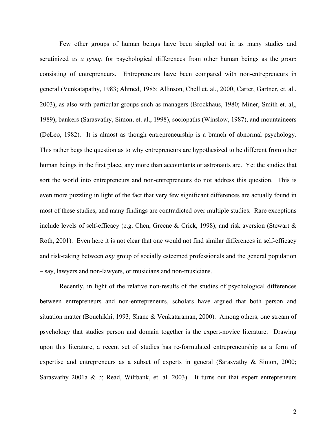Few other groups of human beings have been singled out in as many studies and scrutinized *as a group* for psychological differences from other human beings as the group consisting of entrepreneurs. Entrepreneurs have been compared with non-entrepreneurs in general (Venkatapathy, 1983; Ahmed, 1985; Allinson, Chell et. al., 2000; Carter, Gartner, et. al., 2003), as also with particular groups such as managers (Brockhaus, 1980; Miner, Smith et. al,, 1989), bankers (Sarasvathy, Simon, et. al., 1998), sociopaths (Winslow, 1987), and mountaineers (DeLeo, 1982). It is almost as though entrepreneurship is a branch of abnormal psychology. This rather begs the question as to why entrepreneurs are hypothesized to be different from other human beings in the first place, any more than accountants or astronauts are. Yet the studies that sort the world into entrepreneurs and non-entrepreneurs do not address this question. This is even more puzzling in light of the fact that very few significant differences are actually found in most of these studies, and many findings are contradicted over multiple studies. Rare exceptions include levels of self-efficacy (e.g. Chen, Greene & Crick, 1998), and risk aversion (Stewart & Roth, 2001). Even here it is not clear that one would not find similar differences in self-efficacy and risk-taking between *any* group of socially esteemed professionals and the general population – say, lawyers and non-lawyers, or musicians and non-musicians.

Recently, in light of the relative non-results of the studies of psychological differences between entrepreneurs and non-entrepreneurs, scholars have argued that both person and situation matter (Bouchikhi, 1993; Shane & Venkataraman, 2000). Among others, one stream of psychology that studies person and domain together is the expert-novice literature. Drawing upon this literature, a recent set of studies has re-formulated entrepreneurship as a form of expertise and entrepreneurs as a subset of experts in general (Sarasvathy & Simon, 2000; Sarasvathy 2001a & b; Read, Wiltbank, et. al. 2003). It turns out that expert entrepreneurs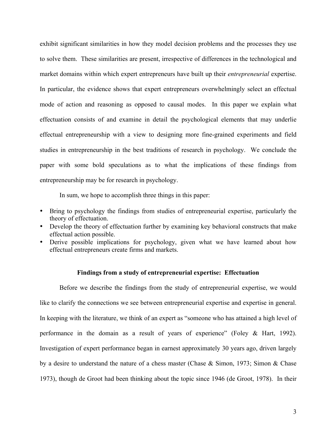exhibit significant similarities in how they model decision problems and the processes they use to solve them. These similarities are present, irrespective of differences in the technological and market domains within which expert entrepreneurs have built up their *entrepreneurial* expertise. In particular, the evidence shows that expert entrepreneurs overwhelmingly select an effectual mode of action and reasoning as opposed to causal modes. In this paper we explain what effectuation consists of and examine in detail the psychological elements that may underlie effectual entrepreneurship with a view to designing more fine-grained experiments and field studies in entrepreneurship in the best traditions of research in psychology. We conclude the paper with some bold speculations as to what the implications of these findings from entrepreneurship may be for research in psychology.

In sum, we hope to accomplish three things in this paper:

- Bring to psychology the findings from studies of entrepreneurial expertise, particularly the theory of effectuation.
- Develop the theory of effectuation further by examining key behavioral constructs that make effectual action possible.
- Derive possible implications for psychology, given what we have learned about how effectual entrepreneurs create firms and markets.

#### **Findings from a study of entrepreneurial expertise: Effectuation**

Before we describe the findings from the study of entrepreneurial expertise, we would like to clarify the connections we see between entrepreneurial expertise and expertise in general. In keeping with the literature, we think of an expert as "someone who has attained a high level of performance in the domain as a result of years of experience" (Foley & Hart, 1992). Investigation of expert performance began in earnest approximately 30 years ago, driven largely by a desire to understand the nature of a chess master (Chase & Simon, 1973; Simon & Chase 1973), though de Groot had been thinking about the topic since 1946 (de Groot, 1978). In their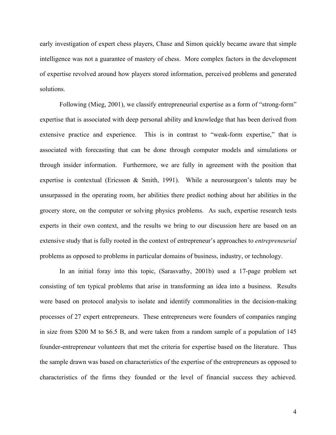early investigation of expert chess players, Chase and Simon quickly became aware that simple intelligence was not a guarantee of mastery of chess. More complex factors in the development of expertise revolved around how players stored information, perceived problems and generated solutions.

Following (Mieg, 2001), we classify entrepreneurial expertise as a form of "strong-form" expertise that is associated with deep personal ability and knowledge that has been derived from extensive practice and experience. This is in contrast to "weak-form expertise," that is associated with forecasting that can be done through computer models and simulations or through insider information. Furthermore, we are fully in agreement with the position that expertise is contextual (Ericsson & Smith, 1991). While a neurosurgeon's talents may be unsurpassed in the operating room, her abilities there predict nothing about her abilities in the grocery store, on the computer or solving physics problems. As such, expertise research tests experts in their own context, and the results we bring to our discussion here are based on an extensive study that is fully rooted in the context of entrepreneur's approaches to *entrepreneurial* problems as opposed to problems in particular domains of business, industry, or technology.

In an initial foray into this topic, (Sarasvathy, 2001b) used a 17-page problem set consisting of ten typical problems that arise in transforming an idea into a business. Results were based on protocol analysis to isolate and identify commonalities in the decision-making processes of 27 expert entrepreneurs. These entrepreneurs were founders of companies ranging in size from \$200 M to \$6.5 B, and were taken from a random sample of a population of 145 founder-entrepreneur volunteers that met the criteria for expertise based on the literature. Thus the sample drawn was based on characteristics of the expertise of the entrepreneurs as opposed to characteristics of the firms they founded or the level of financial success they achieved.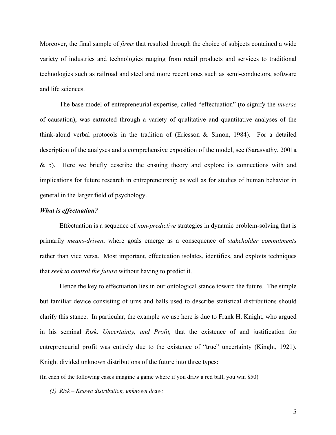Moreover, the final sample of *firms* that resulted through the choice of subjects contained a wide variety of industries and technologies ranging from retail products and services to traditional technologies such as railroad and steel and more recent ones such as semi-conductors, software and life sciences.

The base model of entrepreneurial expertise, called "effectuation" (to signify the *inverse* of causation), was extracted through a variety of qualitative and quantitative analyses of the think-aloud verbal protocols in the tradition of (Ericsson & Simon, 1984). For a detailed description of the analyses and a comprehensive exposition of the model, see (Sarasvathy, 2001a & b). Here we briefly describe the ensuing theory and explore its connections with and implications for future research in entrepreneurship as well as for studies of human behavior in general in the larger field of psychology.

#### *What is effectuation?*

Effectuation is a sequence of *non-predictive* strategies in dynamic problem-solving that is primarily *means-driven*, where goals emerge as a consequence of *stakeholder commitments* rather than vice versa. Most important, effectuation isolates, identifies, and exploits techniques that *seek to control the future* without having to predict it.

Hence the key to effectuation lies in our ontological stance toward the future. The simple but familiar device consisting of urns and balls used to describe statistical distributions should clarify this stance. In particular, the example we use here is due to Frank H. Knight, who argued in his seminal *Risk, Uncertainty, and Profit,* that the existence of and justification for entrepreneurial profit was entirely due to the existence of "true" uncertainty (Kinght, 1921). Knight divided unknown distributions of the future into three types:

(In each of the following cases imagine a game where if you draw a red ball, you win \$50)

*(1) Risk – Known distribution, unknown draw:*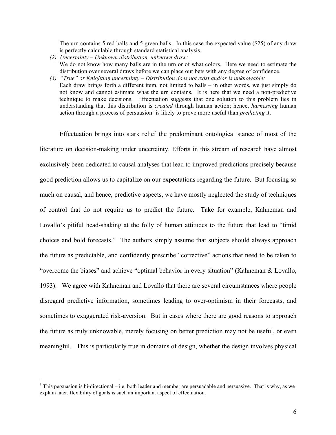The urn contains 5 red balls and 5 green balls. In this case the expected value (\$25) of any draw is perfectly calculable through standard statistical analysis.

- *(2) Uncertainty – Unknown distribution, unknown draw:* We do not know how many balls are in the urn or of what colors. Here we need to estimate the distribution over several draws before we can place our bets with any degree of confidence.
- *(3) "True" or Knightian uncertainty – Distribution does not exist and/or is unknowable:*
- Each draw brings forth a different item, not limited to balls in other words, we just simply do not know and cannot estimate what the urn contains. It is here that we need a non-predictive technique to make decisions. Effectuation suggests that one solution to this problem lies in understanding that this distribution is *created* through human action; hence, *harnessing* human action through a process of persuasion<sup>1</sup> is likely to prove more useful than *predicting* it.

Effectuation brings into stark relief the predominant ontological stance of most of the literature on decision-making under uncertainty. Efforts in this stream of research have almost exclusively been dedicated to causal analyses that lead to improved predictions precisely because good prediction allows us to capitalize on our expectations regarding the future. But focusing so much on causal, and hence, predictive aspects, we have mostly neglected the study of techniques of control that do not require us to predict the future. Take for example, Kahneman and Lovallo's pitiful head-shaking at the folly of human attitudes to the future that lead to "timid choices and bold forecasts." The authors simply assume that subjects should always approach the future as predictable, and confidently prescribe "corrective" actions that need to be taken to "overcome the biases" and achieve "optimal behavior in every situation" (Kahneman & Lovallo, 1993). We agree with Kahneman and Lovallo that there are several circumstances where people disregard predictive information, sometimes leading to over-optimism in their forecasts, and sometimes to exaggerated risk-aversion. But in cases where there are good reasons to approach the future as truly unknowable, merely focusing on better prediction may not be useful, or even meaningful. This is particularly true in domains of design, whether the design involves physical

<sup>&</sup>lt;sup>1</sup> This persuasion is bi-directional – i.e. both leader and member are persuadable and persuasive. That is why, as we explain later, flexibility of goals is such an important aspect of effectuation.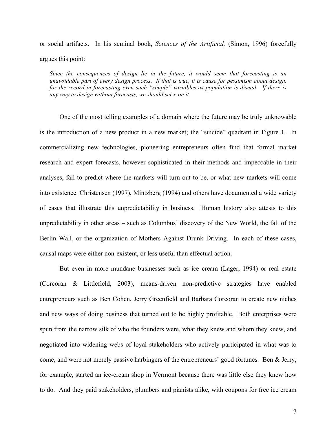or social artifacts. In his seminal book, *Sciences of the Artificial,* (Simon, 1996) forcefully argues this point:

*Since the consequences of design lie in the future, it would seem that forecasting is an unavoidable part of every design process. If that is true, it is cause for pessimism about design, for the record in forecasting even such "simple" variables as population is dismal. If there is any way to design without forecasts, we should seize on it.*

One of the most telling examples of a domain where the future may be truly unknowable is the introduction of a new product in a new market; the "suicide" quadrant in Figure 1. In commercializing new technologies, pioneering entrepreneurs often find that formal market research and expert forecasts, however sophisticated in their methods and impeccable in their analyses, fail to predict where the markets will turn out to be, or what new markets will come into existence. Christensen (1997), Mintzberg (1994) and others have documented a wide variety of cases that illustrate this unpredictability in business. Human history also attests to this unpredictability in other areas – such as Columbus' discovery of the New World, the fall of the Berlin Wall, or the organization of Mothers Against Drunk Driving. In each of these cases, causal maps were either non-existent, or less useful than effectual action.

But even in more mundane businesses such as ice cream (Lager, 1994) or real estate (Corcoran & Littlefield, 2003), means-driven non-predictive strategies have enabled entrepreneurs such as Ben Cohen, Jerry Greenfield and Barbara Corcoran to create new niches and new ways of doing business that turned out to be highly profitable. Both enterprises were spun from the narrow silk of who the founders were, what they knew and whom they knew, and negotiated into widening webs of loyal stakeholders who actively participated in what was to come, and were not merely passive harbingers of the entrepreneurs' good fortunes. Ben & Jerry, for example, started an ice-cream shop in Vermont because there was little else they knew how to do. And they paid stakeholders, plumbers and pianists alike, with coupons for free ice cream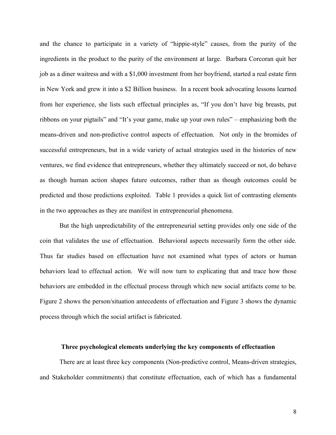and the chance to participate in a variety of "hippie-style" causes, from the purity of the ingredients in the product to the purity of the environment at large. Barbara Corcoran quit her job as a diner waitress and with a \$1,000 investment from her boyfriend, started a real estate firm in New York and grew it into a \$2 Billion business. In a recent book advocating lessons learned from her experience, she lists such effectual principles as, "If you don't have big breasts, put ribbons on your pigtails" and "It's your game, make up your own rules" – emphasizing both the means-driven and non-predictive control aspects of effectuation. Not only in the bromides of successful entrepreneurs, but in a wide variety of actual strategies used in the histories of new ventures, we find evidence that entrepreneurs, whether they ultimately succeed or not, do behave as though human action shapes future outcomes, rather than as though outcomes could be predicted and those predictions exploited. Table 1 provides a quick list of contrasting elements in the two approaches as they are manifest in entrepreneurial phenomena.

But the high unpredictability of the entrepreneurial setting provides only one side of the coin that validates the use of effectuation. Behavioral aspects necessarily form the other side. Thus far studies based on effectuation have not examined what types of actors or human behaviors lead to effectual action. We will now turn to explicating that and trace how those behaviors are embedded in the effectual process through which new social artifacts come to be. Figure 2 shows the person/situation antecedents of effectuation and Figure 3 shows the dynamic process through which the social artifact is fabricated.

#### **Three psychological elements underlying the key components of effectuation**

There are at least three key components (Non-predictive control, Means-driven strategies, and Stakeholder commitments) that constitute effectuation, each of which has a fundamental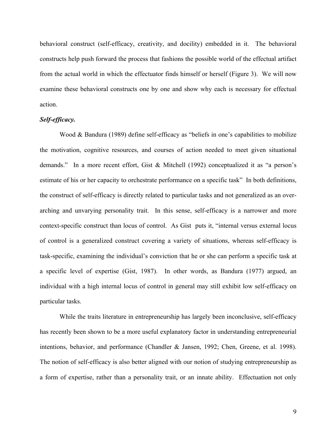behavioral construct (self-efficacy, creativity, and docility) embedded in it. The behavioral constructs help push forward the process that fashions the possible world of the effectual artifact from the actual world in which the effectuator finds himself or herself (Figure 3). We will now examine these behavioral constructs one by one and show why each is necessary for effectual action.

#### *Self-efficacy.*

Wood & Bandura (1989) define self-efficacy as "beliefs in one's capabilities to mobilize the motivation, cognitive resources, and courses of action needed to meet given situational demands." In a more recent effort, Gist & Mitchell (1992) conceptualized it as "a person's estimate of his or her capacity to orchestrate performance on a specific task" In both definitions, the construct of self-efficacy is directly related to particular tasks and not generalized as an overarching and unvarying personality trait. In this sense, self-efficacy is a narrower and more context-specific construct than locus of control. As Gist puts it, "internal versus external locus of control is a generalized construct covering a variety of situations, whereas self-efficacy is task-specific, examining the individual's conviction that he or she can perform a specific task at a specific level of expertise (Gist, 1987). In other words, as Bandura (1977) argued, an individual with a high internal locus of control in general may still exhibit low self-efficacy on particular tasks.

While the traits literature in entrepreneurship has largely been inconclusive, self-efficacy has recently been shown to be a more useful explanatory factor in understanding entrepreneurial intentions, behavior, and performance (Chandler & Jansen, 1992; Chen, Greene, et al. 1998). The notion of self-efficacy is also better aligned with our notion of studying entrepreneurship as a form of expertise, rather than a personality trait, or an innate ability. Effectuation not only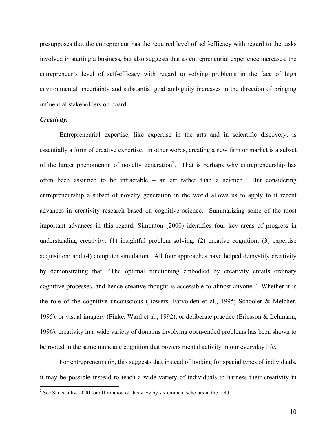presupposes that the entrepreneur has the required level of self-efficacy with regard to the tasks involved in starting a business, but also suggests that as entrepreneurial experience increases, the entrepreneur's level of self-efficacy with regard to solving problems in the face of high environmental uncertainty and substantial goal ambiguity increases in the direction of bringing influential stakeholders on board.

#### *Creativity.*

Entrepreneurial expertise, like expertise in the arts and in scientific discovery, is essentially a form of creative expertise. In other words, creating a new firm or market is a subset of the larger phenomenon of novelty generation<sup>2</sup>. That is perhaps why entrepreneurship has often been assumed to be intractable – an art rather than a science. But considering entrepreneurship a subset of novelty generation in the world allows us to apply to it recent advances in creativity research based on cognitive science. Summarizing some of the most important advances in this regard, Simonton (2000) identifies four key areas of progress in understanding creativity: (1) insightful problem solving; (2) creative cognition; (3) expertise acquisition; and (4) computer simulation. All four approaches have helped demystify creativity by demonstrating that, "The optimal functioning embodied by creativity entails ordinary cognitive processes, and hence creative thought is accessible to almost anyone." Whether it is the role of the cognitive unconscious (Bowers, Farvolden et al., 1995; Schooler & Melcher, 1995), or visual imagery (Finke, Ward et al., 1992), or deliberate practice (Ericsson & Lehmann, 1996), creativity in a wide variety of domains involving open-ended problems has been shown to be rooted in the same mundane cognition that powers mental activity in our everyday life.

For entrepreneurship, this suggests that instead of looking for special types of individuals, it may be possible instead to teach a wide variety of individuals to harness their creativity in

 $2$  See Sarasvathy, 2000 for affirmation of this view by six eminent scholars in the field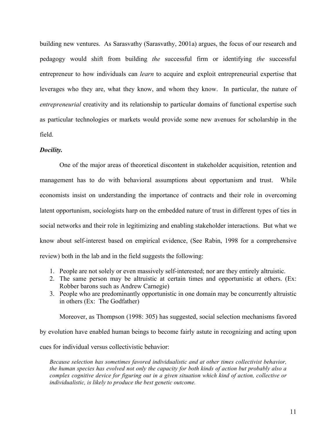building new ventures. As Sarasvathy (Sarasvathy, 2001a) argues, the focus of our research and pedagogy would shift from building *the* successful firm or identifying *the* successful entrepreneur to how individuals can *learn* to acquire and exploit entrepreneurial expertise that leverages who they are, what they know, and whom they know. In particular, the nature of *entrepreneurial* creativity and its relationship to particular domains of functional expertise such as particular technologies or markets would provide some new avenues for scholarship in the field.

#### *Docility.*

One of the major areas of theoretical discontent in stakeholder acquisition, retention and management has to do with behavioral assumptions about opportunism and trust. While economists insist on understanding the importance of contracts and their role in overcoming latent opportunism, sociologists harp on the embedded nature of trust in different types of ties in social networks and their role in legitimizing and enabling stakeholder interactions. But what we know about self-interest based on empirical evidence, (See Rabin, 1998 for a comprehensive review) both in the lab and in the field suggests the following:

- 1. People are not solely or even massively self-interested; nor are they entirely altruistic.
- 2. The same person may be altruistic at certain times and opportunistic at others. (Ex: Robber barons such as Andrew Carnegie)
- 3. People who are predominantly opportunistic in one domain may be concurrently altruistic in others (Ex: The Godfather)

Moreover, as Thompson (1998: 305) has suggested, social selection mechanisms favored

by evolution have enabled human beings to become fairly astute in recognizing and acting upon cues for individual versus collectivistic behavior:

*Because selection has sometimes favored individualistic and at other times collectivist behavior, the human species has evolved not only the capacity for both kinds of action but probably also a complex cognitive device for figuring out in a given situation which kind of action, collective or individualistic, is likely to produce the best genetic outcome.*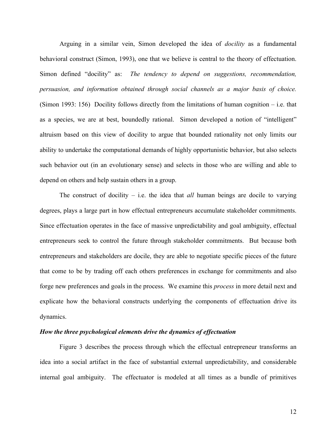Arguing in a similar vein, Simon developed the idea of *docility* as a fundamental behavioral construct (Simon, 1993), one that we believe is central to the theory of effectuation. Simon defined "docility" as: *The tendency to depend on suggestions, recommendation, persuasion, and information obtained through social channels as a major basis of choice.* (Simon 1993: 156) Docility follows directly from the limitations of human cognition – i.e. that as a species, we are at best, boundedly rational. Simon developed a notion of "intelligent" altruism based on this view of docility to argue that bounded rationality not only limits our ability to undertake the computational demands of highly opportunistic behavior, but also selects such behavior out (in an evolutionary sense) and selects in those who are willing and able to depend on others and help sustain others in a group.

The construct of docility – i.e. the idea that *all* human beings are docile to varying degrees, plays a large part in how effectual entrepreneurs accumulate stakeholder commitments. Since effectuation operates in the face of massive unpredictability and goal ambiguity, effectual entrepreneurs seek to control the future through stakeholder commitments. But because both entrepreneurs and stakeholders are docile, they are able to negotiate specific pieces of the future that come to be by trading off each others preferences in exchange for commitments and also forge new preferences and goals in the process. We examine this *process* in more detail next and explicate how the behavioral constructs underlying the components of effectuation drive its dynamics.

#### *How the three psychological elements drive the dynamics of effectuation*

Figure 3 describes the process through which the effectual entrepreneur transforms an idea into a social artifact in the face of substantial external unpredictability, and considerable internal goal ambiguity. The effectuator is modeled at all times as a bundle of primitives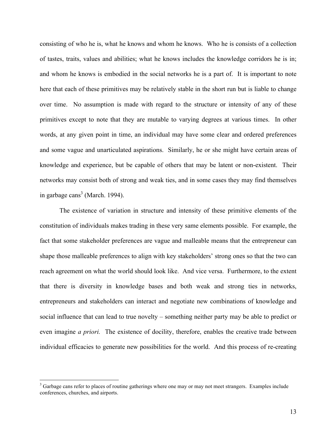consisting of who he is, what he knows and whom he knows. Who he is consists of a collection of tastes, traits, values and abilities; what he knows includes the knowledge corridors he is in; and whom he knows is embodied in the social networks he is a part of. It is important to note here that each of these primitives may be relatively stable in the short run but is liable to change over time. No assumption is made with regard to the structure or intensity of any of these primitives except to note that they are mutable to varying degrees at various times. In other words, at any given point in time, an individual may have some clear and ordered preferences and some vague and unarticulated aspirations. Similarly, he or she might have certain areas of knowledge and experience, but be capable of others that may be latent or non-existent. Their networks may consist both of strong and weak ties, and in some cases they may find themselves in garbage cans<sup>3</sup> (March. 1994).

The existence of variation in structure and intensity of these primitive elements of the constitution of individuals makes trading in these very same elements possible. For example, the fact that some stakeholder preferences are vague and malleable means that the entrepreneur can shape those malleable preferences to align with key stakeholders' strong ones so that the two can reach agreement on what the world should look like. And vice versa. Furthermore, to the extent that there is diversity in knowledge bases and both weak and strong ties in networks, entrepreneurs and stakeholders can interact and negotiate new combinations of knowledge and social influence that can lead to true novelty – something neither party may be able to predict or even imagine *a priori.* The existence of docility, therefore, enables the creative trade between individual efficacies to generate new possibilities for the world. And this process of re-creating

<sup>&</sup>lt;sup>3</sup> Garbage cans refer to places of routine gatherings where one may or may not meet strangers. Examples include conferences, churches, and airports.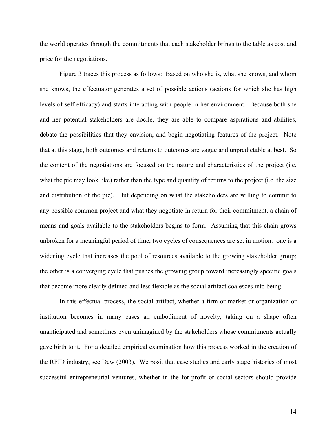the world operates through the commitments that each stakeholder brings to the table as cost and price for the negotiations.

Figure 3 traces this process as follows: Based on who she is, what she knows, and whom she knows, the effectuator generates a set of possible actions (actions for which she has high levels of self-efficacy) and starts interacting with people in her environment. Because both she and her potential stakeholders are docile, they are able to compare aspirations and abilities, debate the possibilities that they envision, and begin negotiating features of the project. Note that at this stage, both outcomes and returns to outcomes are vague and unpredictable at best. So the content of the negotiations are focused on the nature and characteristics of the project (i.e. what the pie may look like) rather than the type and quantity of returns to the project (i.e. the size and distribution of the pie). But depending on what the stakeholders are willing to commit to any possible common project and what they negotiate in return for their commitment, a chain of means and goals available to the stakeholders begins to form. Assuming that this chain grows unbroken for a meaningful period of time, two cycles of consequences are set in motion: one is a widening cycle that increases the pool of resources available to the growing stakeholder group; the other is a converging cycle that pushes the growing group toward increasingly specific goals that become more clearly defined and less flexible as the social artifact coalesces into being.

In this effectual process, the social artifact, whether a firm or market or organization or institution becomes in many cases an embodiment of novelty, taking on a shape often unanticipated and sometimes even unimagined by the stakeholders whose commitments actually gave birth to it. For a detailed empirical examination how this process worked in the creation of the RFID industry, see Dew (2003). We posit that case studies and early stage histories of most successful entrepreneurial ventures, whether in the for-profit or social sectors should provide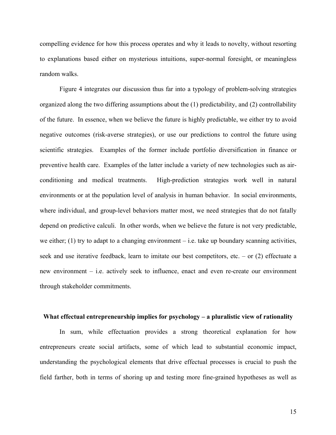compelling evidence for how this process operates and why it leads to novelty, without resorting to explanations based either on mysterious intuitions, super-normal foresight, or meaningless random walks.

Figure 4 integrates our discussion thus far into a typology of problem-solving strategies organized along the two differing assumptions about the (1) predictability, and (2) controllability of the future. In essence, when we believe the future is highly predictable, we either try to avoid negative outcomes (risk-averse strategies), or use our predictions to control the future using scientific strategies. Examples of the former include portfolio diversification in finance or preventive health care. Examples of the latter include a variety of new technologies such as airconditioning and medical treatments. High-prediction strategies work well in natural environments or at the population level of analysis in human behavior. In social environments, where individual, and group-level behaviors matter most, we need strategies that do not fatally depend on predictive calculi. In other words, when we believe the future is not very predictable, we either; (1) try to adapt to a changing environment – i.e. take up boundary scanning activities, seek and use iterative feedback, learn to imitate our best competitors, etc. – or (2) effectuate a new environment – i.e. actively seek to influence, enact and even re-create our environment through stakeholder commitments.

#### **What effectual entrepreneurship implies for psychology – a pluralistic view of rationality**

In sum, while effectuation provides a strong theoretical explanation for how entrepreneurs create social artifacts, some of which lead to substantial economic impact, understanding the psychological elements that drive effectual processes is crucial to push the field farther, both in terms of shoring up and testing more fine-grained hypotheses as well as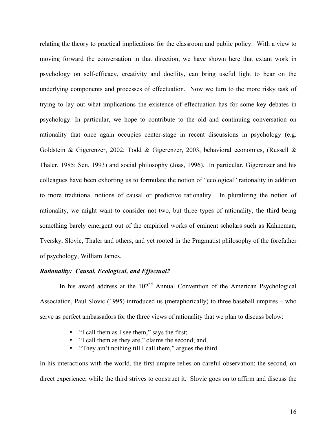relating the theory to practical implications for the classroom and public policy. With a view to moving forward the conversation in that direction, we have shown here that extant work in psychology on self-efficacy, creativity and docility, can bring useful light to bear on the underlying components and processes of effectuation. Now we turn to the more risky task of trying to lay out what implications the existence of effectuation has for some key debates in psychology. In particular, we hope to contribute to the old and continuing conversation on rationality that once again occupies center-stage in recent discussions in psychology (e.g. Goldstein & Gigerenzer, 2002; Todd & Gigerenzer, 2003, behavioral economics, (Russell & Thaler, 1985; Sen, 1993) and social philosophy (Joas, 1996). In particular, Gigerenzer and his colleagues have been exhorting us to formulate the notion of "ecological" rationality in addition to more traditional notions of causal or predictive rationality. In pluralizing the notion of rationality, we might want to consider not two, but three types of rationality, the third being something barely emergent out of the empirical works of eminent scholars such as Kahneman, Tversky, Slovic, Thaler and others, and yet rooted in the Pragmatist philosophy of the forefather of psychology, William James.

#### *Rationality: Causal, Ecological, and Effectual?*

In his award address at the  $102<sup>nd</sup>$  Annual Convention of the American Psychological Association, Paul Slovic (1995) introduced us (metaphorically) to three baseball umpires – who serve as perfect ambassadors for the three views of rationality that we plan to discuss below:

- "I call them as I see them," says the first;
- "I call them as they are," claims the second; and,
- "They ain't nothing till I call them," argues the third.

In his interactions with the world, the first umpire relies on careful observation; the second, on direct experience; while the third strives to construct it. Slovic goes on to affirm and discuss the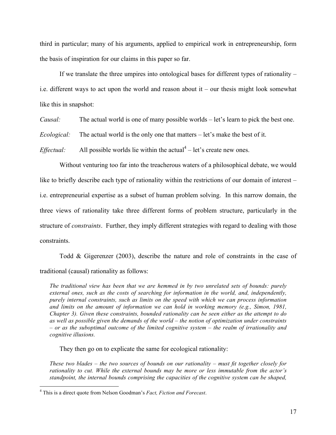third in particular; many of his arguments, applied to empirical work in entrepreneurship, form the basis of inspiration for our claims in this paper so far.

If we translate the three umpires into ontological bases for different types of rationality – i.e. different ways to act upon the world and reason about it – our thesis might look somewhat like this in snapshot:

*Causal:* The actual world is one of many possible worlds – let's learn to pick the best one.

*Ecological:* The actual world is the only one that matters – let's make the best of it.

*Effectual:* All possible worlds lie within the actual<sup>4</sup> – let's create new ones.

Without venturing too far into the treacherous waters of a philosophical debate, we would like to briefly describe each type of rationality within the restrictions of our domain of interest – i.e. entrepreneurial expertise as a subset of human problem solving. In this narrow domain, the three views of rationality take three different forms of problem structure, particularly in the structure of *constraints*. Further, they imply different strategies with regard to dealing with those constraints.

Todd & Gigerenzer (2003), describe the nature and role of constraints in the case of traditional (causal) rationality as follows:

*The traditional view has been that we are hemmed in by two unrelated sets of bounds: purely external ones, such as the costs of searching for information in the world, and, independently, purely internal constraints, such as limits on the speed with which we can process information*  and limits on the amount of information we can hold in working memory (e.g., Simon, 1981, *Chapter 3). Given these constraints, bounded rationality can be seen either as the attempt to do as well as possible given the demands of the world – the notion of optimization under constraints – or as the suboptimal outcome of the limited cognitive system – the realm of irrationality and cognitive illusions.*

They then go on to explicate the same for ecological rationality:

*These two blades – the two sources of bounds on our rationality – must fit together closely for rationality to cut. While the external bounds may be more or less immutable from the actor's standpoint, the internal bounds comprising the capacities of the cognitive system can be shaped,* 

 <sup>4</sup> This is a direct quote from Nelson Goodman's *Fact, Fiction and Forecast*.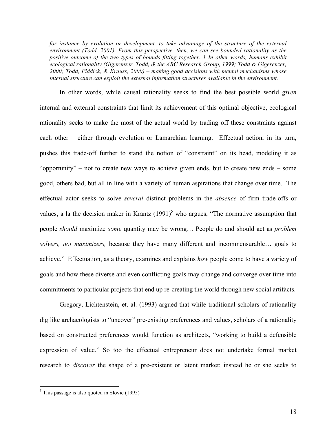*for instance by evolution or development, to take advantage of the structure of the external environment (Todd, 2001). From this perspective, then, we can see bounded rationality as the positive outcome of the two types of bounds fitting together. 1 In other words, humans exhibit ecological rationality (Gigerenzer, Todd, & the ABC Research Group, 1999; Todd & Gigerenzer, 2000; Todd, Fiddick, & Krauss, 2000) – making good decisions with mental mechanisms whose internal structure can exploit the external information structures available in the environment.*

In other words, while causal rationality seeks to find the best possible world *given* internal and external constraints that limit its achievement of this optimal objective, ecological rationality seeks to make the most of the actual world by trading off these constraints against each other – either through evolution or Lamarckian learning. Effectual action, in its turn, pushes this trade-off further to stand the notion of "constraint" on its head, modeling it as "opportunity" – not to create new ways to achieve given ends, but to create new ends – some good, others bad, but all in line with a variety of human aspirations that change over time. The effectual actor seeks to solve *several* distinct problems in the *absence* of firm trade-offs or values, a la the decision maker in Krantz  $(1991)^5$  who argues, "The normative assumption that people *should* maximize *some* quantity may be wrong… People do and should act as *problem solvers, not maximizers,* because they have many different and incommensurable… goals to achieve." Effectuation, as a theory, examines and explains *how* people come to have a variety of goals and how these diverse and even conflicting goals may change and converge over time into commitments to particular projects that end up re-creating the world through new social artifacts.

Gregory, Lichtenstein, et. al. (1993) argued that while traditional scholars of rationality dig like archaeologists to "uncover" pre-existing preferences and values, scholars of a rationality based on constructed preferences would function as architects, "working to build a defensible expression of value." So too the effectual entrepreneur does not undertake formal market research to *discover* the shape of a pre-existent or latent market; instead he or she seeks to

 $<sup>5</sup>$  This passage is also quoted in Slovic (1995)</sup>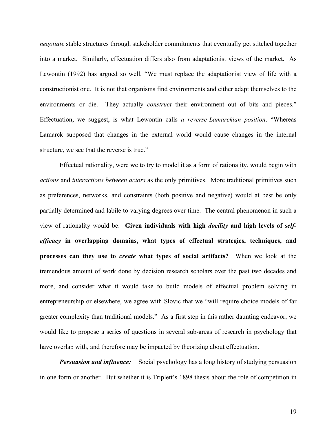*negotiate* stable structures through stakeholder commitments that eventually get stitched together into a market. Similarly, effectuation differs also from adaptationist views of the market. As Lewontin (1992) has argued so well, "We must replace the adaptationist view of life with a constructionist one. It is not that organisms find environments and either adapt themselves to the environments or die. They actually *construct* their environment out of bits and pieces." Effectuation, we suggest, is what Lewontin calls *a reverse-Lamarckian position*. "Whereas Lamarck supposed that changes in the external world would cause changes in the internal structure, we see that the reverse is true."

Effectual rationality, were we to try to model it as a form of rationality, would begin with *actions* and *interactions between actors* as the only primitives. More traditional primitives such as preferences, networks, and constraints (both positive and negative) would at best be only partially determined and labile to varying degrees over time. The central phenomenon in such a view of rationality would be: **Given individuals with high** *docility* **and high levels of** *selfefficacy* **in overlapping domains, what types of effectual strategies, techniques, and processes can they use to** *create* **what types of social artifacts?** When we look at the tremendous amount of work done by decision research scholars over the past two decades and more, and consider what it would take to build models of effectual problem solving in entrepreneurship or elsewhere, we agree with Slovic that we "will require choice models of far greater complexity than traditional models." As a first step in this rather daunting endeavor, we would like to propose a series of questions in several sub-areas of research in psychology that have overlap with, and therefore may be impacted by theorizing about effectuation.

*Persuasion and influence:* Social psychology has a long history of studying persuasion in one form or another. But whether it is Triplett's 1898 thesis about the role of competition in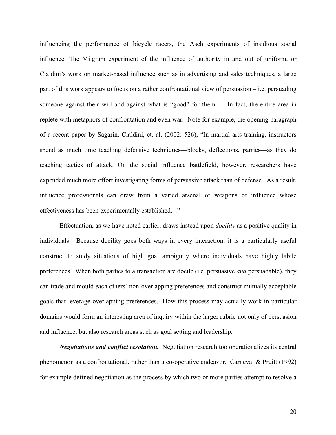influencing the performance of bicycle racers, the Asch experiments of insidious social influence, The Milgram experiment of the influence of authority in and out of uniform, or Cialdini's work on market-based influence such as in advertising and sales techniques, a large part of this work appears to focus on a rather confrontational view of persuasion – i.e. persuading someone against their will and against what is "good" for them. In fact, the entire area in replete with metaphors of confrontation and even war. Note for example, the opening paragraph of a recent paper by Sagarin, Cialdini, et. al. (2002: 526), "In martial arts training, instructors spend as much time teaching defensive techniques—blocks, deflections, parries—as they do teaching tactics of attack. On the social influence battlefield, however, researchers have expended much more effort investigating forms of persuasive attack than of defense. As a result, influence professionals can draw from a varied arsenal of weapons of influence whose effectiveness has been experimentally established…"

Effectuation, as we have noted earlier, draws instead upon *docility* as a positive quality in individuals. Because docility goes both ways in every interaction, it is a particularly useful construct to study situations of high goal ambiguity where individuals have highly labile preferences. When both parties to a transaction are docile (i.e. persuasive *and* persuadable), they can trade and mould each others' non-overlapping preferences and construct mutually acceptable goals that leverage overlapping preferences. How this process may actually work in particular domains would form an interesting area of inquiry within the larger rubric not only of persuasion and influence, but also research areas such as goal setting and leadership.

*Negotiations and conflict resolution.* Negotiation research too operationalizes its central phenomenon as a confrontational, rather than a co-operative endeavor. Carneval & Pruitt (1992) for example defined negotiation as the process by which two or more parties attempt to resolve a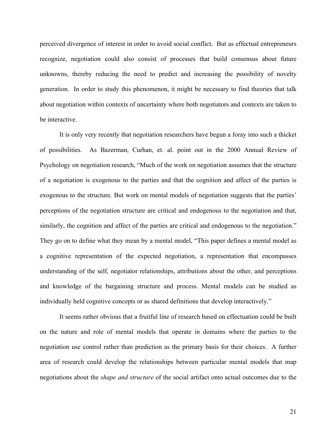perceived divergence of interest in order to avoid social conflict. But as effectual entrepreneurs recognize, negotiation could also consist of processes that build consensus about future unknowns, thereby reducing the need to predict and increasing the possibility of novelty generation. In order to study this phenomenon, it might be necessary to find theories that talk about negotiation within contexts of uncertainty where both negotiators and contexts are taken to be interactive.

It is only very recently that negotiation researchers have begun a foray into such a thicket of possibilities. As Bazerman, Curhan, et. al. point out in the 2000 Annual Review of Psychology on negotiation research, "Much of the work on negotiation assumes that the structure of a negotiation is exogenous to the parties and that the cognition and affect of the parties is exogenous to the structure. But work on mental models of negotiation suggests that the parties' perceptions of the negotiation structure are critical and endogenous to the negotiation and that, similarly, the cognition and affect of the parties are critical and endogenous to the negotiation." They go on to define what they mean by a mental model, "This paper defines a mental model as a cognitive representation of the expected negotiation, a representation that encompasses understanding of the self, negotiator relationships, attributions about the other, and perceptions and knowledge of the bargaining structure and process. Mental models can be studied as individually held cognitive concepts or as shared definitions that develop interactively."

It seems rather obvious that a fruitful line of research based on effectuation could be built on the nature and role of mental models that operate in domains where the parties to the negotiation use control rather than prediction as the primary basis for their choices. A further area of research could develop the relationships between particular mental models that map negotiations about the *shape and structure* of the social artifact onto actual outcomes due to the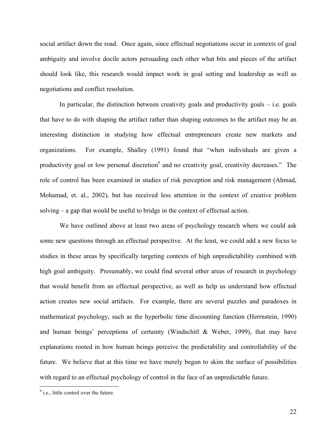social artifact down the road. Once again, since effectual negotiations occur in contexts of goal ambiguity and involve docile actors persuading each other what bits and pieces of the artifact should look like, this research would impact work in goal setting and leadership as well as negotiations and conflict resolution.

In particular, the distinction between creativity goals and productivity goals  $-$  i.e. goals that have to do with shaping the artifact rather than shaping outcomes to the artifact may be an interesting distinction in studying how effectual entrepreneurs create new markets and organizations. For example, Shalley (1991) found that "when individuals are given a productivity goal or low personal discretion<sup>6</sup> and no creativity goal, creativity decreases." The role of control has been examined in studies of risk perception and risk management (Ahmad, Mohamad, et. al., 2002), but has received less attention in the context of creative problem solving – a gap that would be useful to bridge in the context of effectual action.

We have outlined above at least two areas of psychology research where we could ask some new questions through an effectual perspective. At the least, we could add a new focus to studies in these areas by specifically targeting contexts of high unpredictability combined with high goal ambiguity. Presumably, we could find several other areas of research in psychology that would benefit from an effectual perspective, as well as help us understand how effectual action creates new social artifacts. For example, there are several puzzles and paradoxes in mathematical psychology, such as the hyperbolic time discounting function (Herrnstein, 1990) and human beings' perceptions of certainty (Windschitl & Weber, 1999), that may have explanations rooted in how human beings perceive the predictability and controllability of the future. We believe that at this time we have merely begun to skim the surface of possibilities with regard to an effectual psychology of control in the face of an unpredictable future.

 $<sup>6</sup>$  i.e., little control over the future.</sup>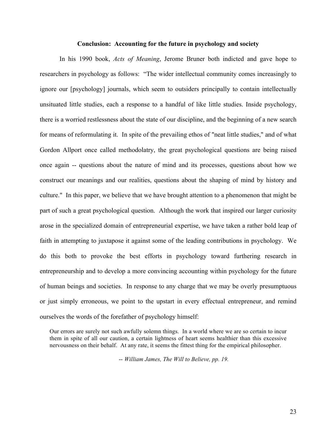#### **Conclusion: Accounting for the future in psychology and society**

In his 1990 book, *Acts of Meaning*, Jerome Bruner both indicted and gave hope to researchers in psychology as follows: "The wider intellectual community comes increasingly to ignore our [psychology] journals, which seem to outsiders principally to contain intellectually unsituated little studies, each a response to a handful of like little studies. Inside psychology, there is a worried restlessness about the state of our discipline, and the beginning of a new search for means of reformulating it. In spite of the prevailing ethos of "neat little studies," and of what Gordon Allport once called methodolatry, the great psychological questions are being raised once again -- questions about the nature of mind and its processes, questions about how we construct our meanings and our realities, questions about the shaping of mind by history and culture." In this paper, we believe that we have brought attention to a phenomenon that might be part of such a great psychological question. Although the work that inspired our larger curiosity arose in the specialized domain of entrepreneurial expertise, we have taken a rather bold leap of faith in attempting to juxtapose it against some of the leading contributions in psychology. We do this both to provoke the best efforts in psychology toward furthering research in entrepreneurship and to develop a more convincing accounting within psychology for the future of human beings and societies. In response to any charge that we may be overly presumptuous or just simply erroneous, we point to the upstart in every effectual entrepreneur, and remind ourselves the words of the forefather of psychology himself:

Our errors are surely not such awfully solemn things. In a world where we are so certain to incur them in spite of all our caution, a certain lightness of heart seems healthier than this excessive nervousness on their behalf. At any rate, it seems the fittest thing for the empirical philosopher.

-- *William James, The Will to Believe, pp. 19.*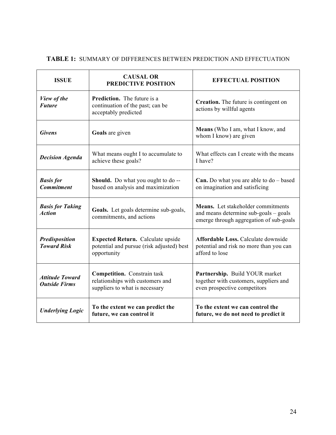| <b>ISSUE</b>                                   | <b>CAUSAL OR</b><br><b>PREDICTIVE POSITION</b>                                                           | <b>EFFECTUAL POSITION</b>                                                                                              |
|------------------------------------------------|----------------------------------------------------------------------------------------------------------|------------------------------------------------------------------------------------------------------------------------|
| View of the<br><b>Future</b>                   | <b>Prediction.</b> The future is a<br>continuation of the past; can be<br>acceptably predicted           | Creation. The future is contingent on<br>actions by willful agents                                                     |
| <b>Givens</b>                                  | Goals are given                                                                                          | Means (Who I am, what I know, and<br>whom I know) are given                                                            |
| <b>Decision Agenda</b>                         | What means ought I to accumulate to<br>achieve these goals?                                              | What effects can I create with the means<br>I have?                                                                    |
| <b>Basis for</b><br><b>Commitment</b>          | <b>Should.</b> Do what you ought to do --<br>based on analysis and maximization                          | <b>Can.</b> Do what you are able to $do - based$<br>on imagination and satisficing                                     |
| <b>Basis for Taking</b><br><b>Action</b>       | Goals. Let goals determine sub-goals,<br>commitments, and actions                                        | Means. Let stakeholder commitments<br>and means determine sub-goals - goals<br>emerge through aggregation of sub-goals |
| <b>Predisposition</b><br><b>Toward Risk</b>    | <b>Expected Return.</b> Calculate upside<br>potential and pursue (risk adjusted) best<br>opportunity     | <b>Affordable Loss. Calculate downside</b><br>potential and risk no more than you can<br>afford to lose                |
| <b>Attitude Toward</b><br><b>Outside Firms</b> | <b>Competition.</b> Constrain task<br>relationships with customers and<br>suppliers to what is necessary | Partnership. Build YOUR market<br>together with customers, suppliers and<br>even prospective competitors               |
| <b>Underlying Logic</b>                        | To the extent we can predict the<br>future, we can control it                                            | To the extent we can control the<br>future, we do not need to predict it                                               |

## **TABLE 1:** SUMMARY OF DIFFERENCES BETWEEN PREDICTION AND EFFECTUATION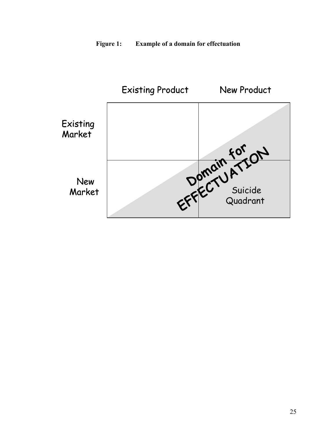

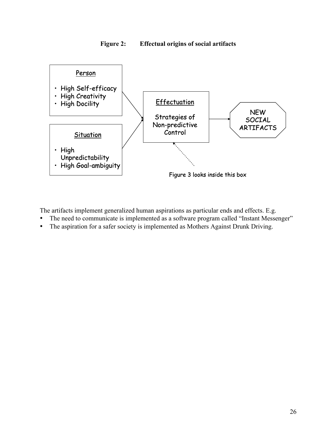



The artifacts implement generalized human aspirations as particular ends and effects. E.g.

- The need to communicate is implemented as a software program called "Instant Messenger"
- The aspiration for a safer society is implemented as Mothers Against Drunk Driving.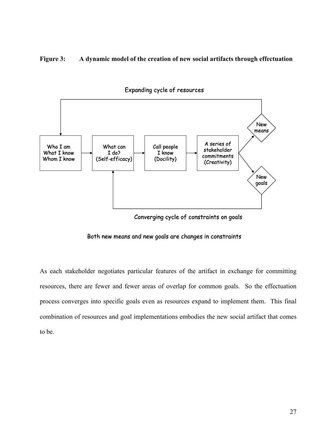### **Figure 3: A dynamic model of the creation of new social artifacts through effectuation**



Expanding cycle of resources

Converging cycle of constraints on goals

#### Both new means and new goals are changes in constraints

As each stakeholder negotiates particular features of the artifact in exchange for committing resources, there are fewer and fewer areas of overlap for common goals. So the effectuation process converges into specific goals even as resources expand to implement them. This final combination of resources and goal implementations embodies the new social artifact that comes to be.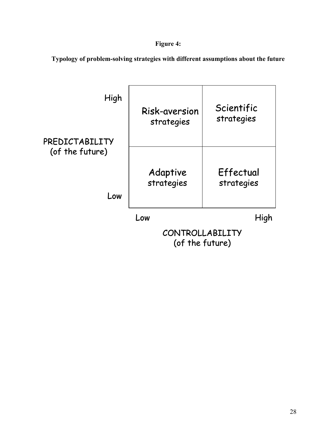# **Figure 4:**

**Typology of problem-solving strategies with different assumptions about the future**

| High            | Risk-aversion                      | Scientific |
|-----------------|------------------------------------|------------|
| PREDICTABILITY  | strategies                         | strategies |
| (of the future) | Adaptive                           | Effectual  |
| Low             | strategies                         | strategies |
|                 | Low                                | High       |
|                 | CONTROLLABILITY<br>(of the future) |            |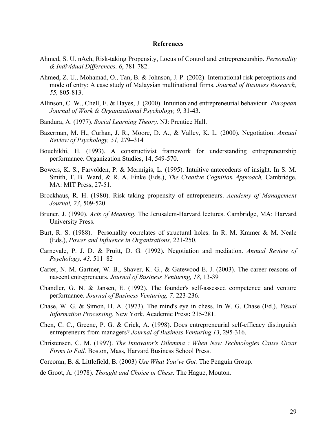#### **References**

- Ahmed, S. U. nAch, Risk-taking Propensity, Locus of Control and entrepreneurship. *Personality & Individual Differences, 6*, 781-782.
- Ahmed, Z. U., Mohamad, O., Tan, B. & Johnson, J. P. (2002). International risk perceptions and mode of entry: A case study of Malaysian multinational firms. *Journal of Business Research, 55,* 805-813.
- Allinson, C. W., Chell, E. & Hayes, J. (2000). Intuition and entrepreneurial behaviour. *European Journal of Work & Organizational Psychology, 9,* 31-43.
- Bandura, A. (1977). *Social Learning Theory.* NJ: Prentice Hall.
- Bazerman, M. H., Curhan, J. R., Moore, D. A., & Valley, K. L. (2000). Negotiation. *Annual Review of Psychology, 51,* 279–314
- Bouchikhi, H. (1993). A constructivist framework for understanding entrepreneurship performance. Organization Studies, 14, 549-570.
- Bowers, K. S., Farvolden, P. & Mermigis, L. (1995). Intuitive antecedents of insight. In S. M. Smith, T. B. Ward, & R. A. Finke (Eds.), *The Creative Cognition Approach,* Cambridge, MA: MIT Press, 27-51.
- Brockhaus, R. H. (1980). Risk taking propensity of entrepreneurs. *Academy of Management Journal, 23*, 509-520.
- Bruner, J. (1990). *Acts of Meaning.* The Jerusalem-Harvard lectures. Cambridge, MA: Harvard University Press.
- Burt, R. S. (1988). Personality correlates of structural holes. In R. M. Kramer & M. Neale (Eds.), *Power and Influence in Organizations,* 221-250.
- Carnevale, P. J. D. & Pruitt, D. G. (1992). Negotiation and mediation. *Annual Review of Psychology, 43,* 511–82
- Carter, N. M. Gartner, W. B., Shaver, K. G., & Gatewood E. J. (2003). The career reasons of nascent entrepreneurs. *Journal of Business Venturing, 18,* 13-39
- Chandler, G. N. & Jansen, E. (1992). The founder's self-assessed competence and venture performance. *Journal of Business Venturing, 7,* 223-236.
- Chase, W. G. & Simon, H. A. (1973). The mind's eye in chess. In W. G. Chase (Ed.), *Visual Information Processing.* New York, Academic Press**:** 215-281.
- Chen, C. C., Greene, P. G. & Crick, A. (1998). Does entrepreneurial self-efficacy distinguish entrepreneurs from managers? *Journal of Business Venturing 13*, 295-316.
- Christensen, C. M. (1997). *The Innovator's Dilemma : When New Technologies Cause Great Firms to Fail.* Boston, Mass, Harvard Business School Press.
- Corcoran, B. & Littlefield, B. (2003) *Use What You've Got.* The Penguin Group.

de Groot, A. (1978). *Thought and Choice in Chess.* The Hague, Mouton.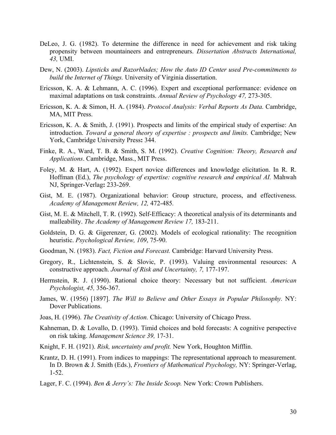- DeLeo, J. G. (1982). To determine the difference in need for achievement and risk taking propensity between mountaineers and entrepreneurs. *Dissertation Abstracts International, 43,* UMI.
- Dew, N. (2003). *Lipsticks and Razorblades; How the Auto ID Center used Pre-commitments to build the Internet of Things.* University of Virginia dissertation.
- Ericsson, K. A. & Lehmann, A. C. (1996). Expert and exceptional performance: evidence on maximal adaptations on task constraints. *Annual Review of Psychology 47,* 273-305.
- Ericsson, K. A. & Simon, H. A. (1984). *Protocol Analysis: Verbal Reports As Data.* Cambridge, MA, MIT Press.
- Ericsson, K. A. & Smith, J. (1991). Prospects and limits of the empirical study of expertise: An introduction. *Toward a general theory of expertise : prospects and limits.* Cambridge; New York, Cambridge University Press**:** 344.
- Finke, R. A., Ward, T. B. & Smith, S. M. (1992). *Creative Cognition: Theory, Research and Applications*. Cambridge, Mass., MIT Press.
- Foley, M. & Hart, A. (1992). Expert novice differences and knowledge elicitation. In R. R. Hoffman (Ed.), *The psychology of expertise: cognitive research and empirical AI.* Mahwah NJ, Springer-Verlag**:** 233-269.
- Gist, M. E. (1987). Organizational behavior: Group structure, process, and effectiveness. *Academy of Management Review, 12,* 472-485*.*
- Gist, M. E. & Mitchell, T. R. (1992). Self-Efficacy: A theoretical analysis of its determinants and malleability. *The Academy of Management Review 17,* 183-211.
- Goldstein, D. G. & Gigerenzer, G. (2002). Models of ecological rationality: The recognition heuristic. *Psychological Review, 109*, 75-90.
- Goodman, N. (1983). *Fact, Fiction and Forecast.* Cambridge: Harvard University Press.
- Gregory, R., Lichtenstein, S. & Slovic, P. (1993). Valuing environmental resources: A constructive approach. *Journal of Risk and Uncertainty, 7,* 177-197.
- Herrnstein, R. J. (1990). Rational choice theory: Necessary but not sufficient. *American Psychologist, 45,* 356-367.
- James, W. (1956) [1897]. *The Will to Believe and Other Essays in Popular Philosophy.* NY: Dover Publications.
- Joas, H. (1996). *The Creativity of Action.* Chicago: University of Chicago Press.
- Kahneman, D. & Lovallo, D. (1993). Timid choices and bold forecasts: A cognitive perspective on risk taking. *Management Science 39,* 17-31.
- Knight, F. H. (1921). *Risk, uncertainty and profit.* New York, Houghton Mifflin.
- Krantz, D. H. (1991). From indices to mappings: The representational approach to measurement. In D. Brown & J. Smith (Eds.), *Frontiers of Mathematical Psychology,* NY: Springer-Verlag, 1-52.
- Lager, F. C. (1994). *Ben & Jerry's: The Inside Scoop.* New York: Crown Publishers.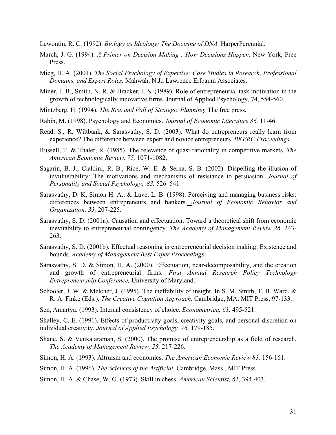Lewontin, R. C. (1992). *Biology as Ideology: The Doctrine of DNA.* HarperPerennial.

- March, J. G. (1994). *A Primer on Decision Making : How Decisions Happen.* New York, Free Press.
- Mieg, H. A. (2001). *The Social Psychology of Expertise: Case Studies in Research, Professional Domains, and Expert Roles.* Mahwah, N.J., Lawrence Erlbaum Associates.
- Miner, J. B., Smith, N. R. & Bracker, J. S. (1989). Role of entrepreneurial task motivation in the growth of technologically innovative firms. Journal of Applied Psychology, 74, 554-560.
- Mintzberg, H. (1994). *The Rise and Fall of Strategic Planning.* The free press.
- Rabin, M. (1998). Psychology and Economics. *Journal of Economic Literature 36,* 11-46.
- Read, S., R. Wiltbank, & Sarasvathy, S. D. (2003). What do entrepreneurs really learn from experience? The difference between expert and novice entrepreneurs. *BKERC Proceedings*.
- Russell, T. & Thaler, R. (1985). The relevance of quasi rationality in competitive markets. *The American Economic Review, 75,* 1071-1082.
- Sagarin, B. J., Cialdini, R. B., Rice, W. E. & Serna, S. B. (2002). Dispelling the illusion of invulnerability: The motivations and mechanisms of resistance to persuasion. *Journal of Personality and Social Psychology*, *83,* 526–541
- Sarasvathy, D. K, Simon H. A., & Lave, L. B. (1998). Perceiving and managing business risks: differences between entrepreneurs and bankers. *Journal of Economic Behavior and Organization, 33,* 207-225.
- Sarasvathy, S. D. (2001a). Causation and effectuation: Toward a theoretical shift from economic inevitability to entrepreneurial contingency. *The Academy of Management Review 26,* 243- 263.
- Sarasvathy, S. D. (2001b). Effectual reasoning in entrepreneurial decision making: Existence and bounds. *Academy of Management Best Paper Proceedings*.
- Sarasvathy, S. D. & Simon, H. A. (2000). Effectuation, near-decomposability, and the creation and growth of entrepreneurial firms. *First Annual Research Policy Technology Entrepreneurship Conference,* University of Maryland.
- Schooler, J. W. & Melcher, J. (1995). The ineffability of insight. In S. M. Smith, T. B. Ward, & R. A. Finke (Eds.), *The Creative Cognition Approach,* Cambridge, MA: MIT Press, 97-133.
- Sen, Amartya. (1993). Internal consistency of choice. *Econometrica, 61,* 495-521.

Shalley, C. E. (1991). Effects of productivity goals, creativity goals, and personal discretion on individual creativity. *Journal of Applied Psychology, 76,* 179-185.

- Shane, S. & Venkataraman, S. (2000). The promise of entrepreneurship as a field of research. *The Academy of Management Review, 25,* 217-226.
- Simon, H. A. (1993). Altruism and economics. *The American Economic Review 83,* 156-161.
- Simon, H. A. (1996). *The Sciences of the Artificial*. Cambridge, Mass., MIT Press.
- Simon, H. A. & Chase, W. G. (1973). Skill in chess. *American Scientist, 61,* 394-403.